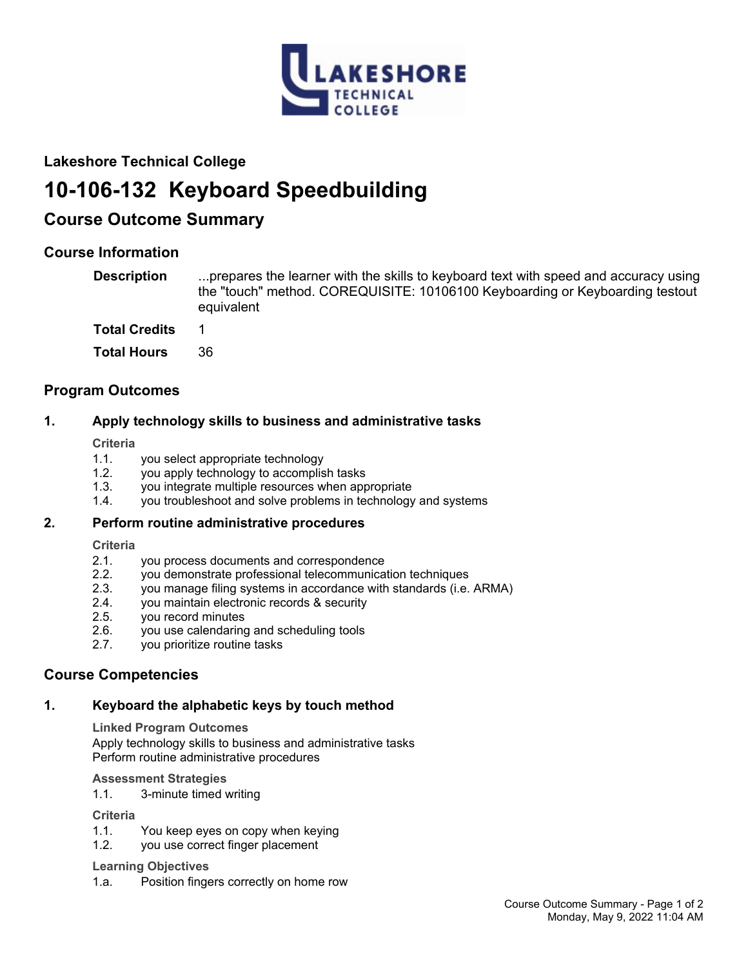

# **Lakeshore Technical College**

# **10-106-132 Keyboard Speedbuilding**

# **Course Outcome Summary**

# **Course Information**

| <b>Description</b>   | prepares the learner with the skills to keyboard text with speed and accuracy using<br>the "touch" method. COREQUISITE: 10106100 Keyboarding or Keyboarding testout<br>equivalent |
|----------------------|-----------------------------------------------------------------------------------------------------------------------------------------------------------------------------------|
| <b>Total Credits</b> |                                                                                                                                                                                   |
| <b>Total Hours</b>   |                                                                                                                                                                                   |

### **Program Outcomes**

#### **1. Apply technology skills to business and administrative tasks**

#### **Criteria**

- 1.1. you select appropriate technology
- 1.2. you apply technology to accomplish tasks
- 1.3. you integrate multiple resources when appropriate
- 1.4. you troubleshoot and solve problems in technology and systems

#### **2. Perform routine administrative procedures**

#### **Criteria**

- 2.1. you process documents and correspondence
- 2.2. you demonstrate professional telecommunication techniques
- 2.3. you manage filing systems in accordance with standards (i.e. ARMA)
- 2.4. you maintain electronic records & security
- 2.5. you record minutes
- 2.6. you use calendaring and scheduling tools
- 2.7. you prioritize routine tasks

## **Course Competencies**

#### **1. Keyboard the alphabetic keys by touch method**

#### **Linked Program Outcomes**

Apply technology skills to business and administrative tasks Perform routine administrative procedures

#### **Assessment Strategies**

1.1. 3-minute timed writing

**Criteria**

- 1.1. You keep eyes on copy when keying
- 1.2. you use correct finger placement

#### **Learning Objectives**

1.a. Position fingers correctly on home row